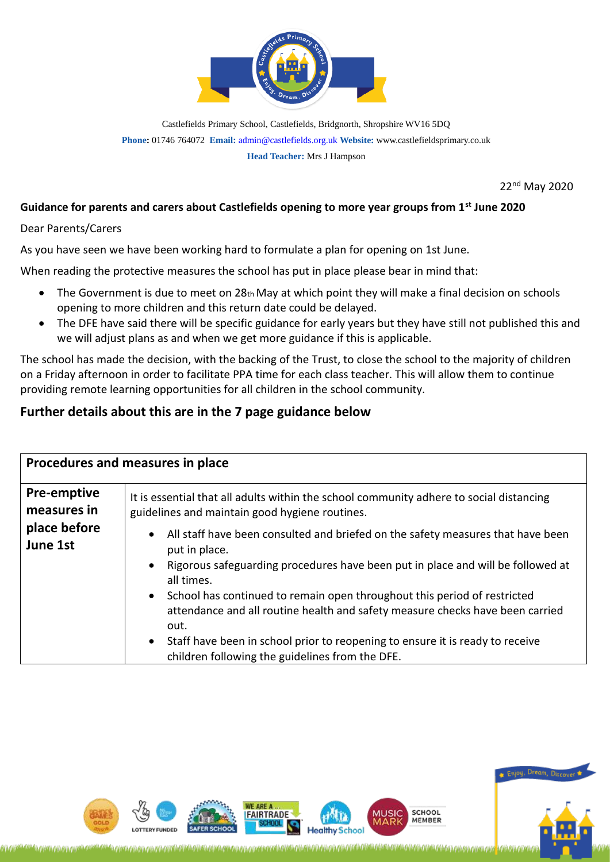

Castlefields Primary School, Castlefields, Bridgnorth, Shropshire WV16 5DQ **Phone:** 01746 764072 **Email:** [admin@castlefields.org.uk](mailto:admin@castlefields.org.uk) **Website:** www.castlefieldsprimary.co.uk **Head Teacher:** Mrs J Hampson

22nd May 2020

## **Guidance for parents and carers about Castlefields opening to more year groups from 1st June 2020**

Dear Parents/Carers

As you have seen we have been working hard to formulate a plan for opening on 1st June.

When reading the protective measures the school has put in place please bear in mind that:

- The Government is due to meet on 28th May at which point they will make a final decision on schools opening to more children and this return date could be delayed.
- The DFE have said there will be specific guidance for early years but they have still not published this and we will adjust plans as and when we get more guidance if this is applicable.

The school has made the decision, with the backing of the Trust, to close the school to the majority of children on a Friday afternoon in order to facilitate PPA time for each class teacher. This will allow them to continue providing remote learning opportunities for all children in the school community.

## **Further details about this are in the 7 page guidance below**

| Procedures and measures in place                              |                                                                                                                                                                                                                                                    |  |
|---------------------------------------------------------------|----------------------------------------------------------------------------------------------------------------------------------------------------------------------------------------------------------------------------------------------------|--|
| <b>Pre-emptive</b><br>measures in<br>place before<br>June 1st | It is essential that all adults within the school community adhere to social distancing<br>guidelines and maintain good hygiene routines.                                                                                                          |  |
|                                                               | All staff have been consulted and briefed on the safety measures that have been<br>$\bullet$<br>put in place.<br>Rigorous safeguarding procedures have been put in place and will be followed at<br>all times.                                     |  |
|                                                               | School has continued to remain open throughout this period of restricted<br>attendance and all routine health and safety measure checks have been carried<br>out.<br>Staff have been in school prior to reopening to ensure it is ready to receive |  |
|                                                               | children following the guidelines from the DFE.                                                                                                                                                                                                    |  |



\\ZjYGZj\Zj\Zj\ZjYY\ZjYY\ZjYY\ZjYYQZj\Zj\Zj\Zj\ZjYZYYYYYYYY\Zj\Zj\Zj\Zj\Zj\ZjYYQZjYY\ZjYXQ}\Zj\Zj\ZjYZ

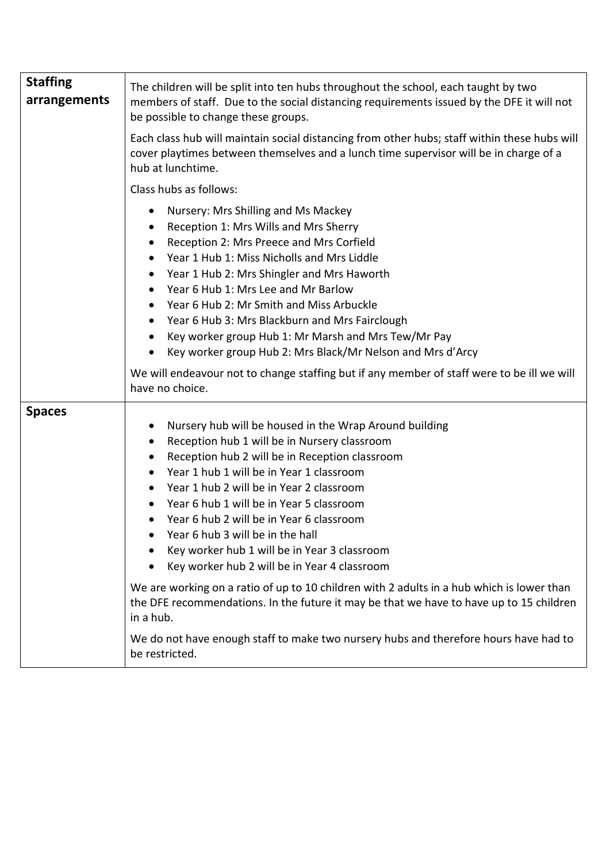| <b>Staffing</b><br>arrangements | The children will be split into ten hubs throughout the school, each taught by two<br>members of staff. Due to the social distancing requirements issued by the DFE it will not<br>be possible to change these groups.<br>Each class hub will maintain social distancing from other hubs; staff within these hubs will<br>cover playtimes between themselves and a lunch time supervisor will be in charge of a<br>hub at lunchtime.                                                                                                                                                                                                                                                                                                                                                        |
|---------------------------------|---------------------------------------------------------------------------------------------------------------------------------------------------------------------------------------------------------------------------------------------------------------------------------------------------------------------------------------------------------------------------------------------------------------------------------------------------------------------------------------------------------------------------------------------------------------------------------------------------------------------------------------------------------------------------------------------------------------------------------------------------------------------------------------------|
|                                 | Class hubs as follows:                                                                                                                                                                                                                                                                                                                                                                                                                                                                                                                                                                                                                                                                                                                                                                      |
|                                 | Nursery: Mrs Shilling and Ms Mackey<br>Reception 1: Mrs Wills and Mrs Sherry<br>Reception 2: Mrs Preece and Mrs Corfield<br>Year 1 Hub 1: Miss Nicholls and Mrs Liddle<br>Year 1 Hub 2: Mrs Shingler and Mrs Haworth<br>$\bullet$<br>Year 6 Hub 1: Mrs Lee and Mr Barlow<br>Year 6 Hub 2: Mr Smith and Miss Arbuckle<br>Year 6 Hub 3: Mrs Blackburn and Mrs Fairclough<br>Key worker group Hub 1: Mr Marsh and Mrs Tew/Mr Pay<br>Key worker group Hub 2: Mrs Black/Mr Nelson and Mrs d'Arcy<br>We will endeavour not to change staffing but if any member of staff were to be ill we will<br>have no choice.                                                                                                                                                                                |
| <b>Spaces</b>                   | Nursery hub will be housed in the Wrap Around building<br>Reception hub 1 will be in Nursery classroom<br>Reception hub 2 will be in Reception classroom<br>Year 1 hub 1 will be in Year 1 classroom<br>Year 1 hub 2 will be in Year 2 classroom<br>Year 6 hub 1 will be in Year 5 classroom<br>Year 6 hub 2 will be in Year 6 classroom<br>Year 6 hub 3 will be in the hall<br>Key worker hub 1 will be in Year 3 classroom<br>Key worker hub 2 will be in Year 4 classroom<br>We are working on a ratio of up to 10 children with 2 adults in a hub which is lower than<br>the DFE recommendations. In the future it may be that we have to have up to 15 children<br>in a hub.<br>We do not have enough staff to make two nursery hubs and therefore hours have had to<br>be restricted. |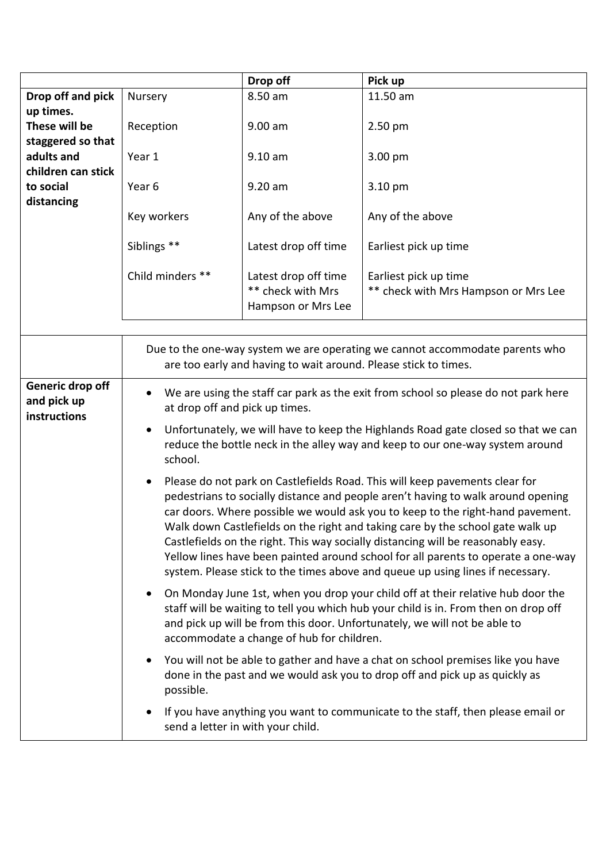|                                                       |                                                                                                                                                                                                                                     | Drop off                                                        | Pick up                                                                                                                                                                                                                                                                                                                                                                                                                                                                                                                                                                                        |
|-------------------------------------------------------|-------------------------------------------------------------------------------------------------------------------------------------------------------------------------------------------------------------------------------------|-----------------------------------------------------------------|------------------------------------------------------------------------------------------------------------------------------------------------------------------------------------------------------------------------------------------------------------------------------------------------------------------------------------------------------------------------------------------------------------------------------------------------------------------------------------------------------------------------------------------------------------------------------------------------|
| Drop off and pick                                     | Nursery                                                                                                                                                                                                                             | 8.50 am                                                         | 11.50 am                                                                                                                                                                                                                                                                                                                                                                                                                                                                                                                                                                                       |
| up times.<br>These will be                            | Reception                                                                                                                                                                                                                           | $9.00$ am                                                       | $2.50$ pm                                                                                                                                                                                                                                                                                                                                                                                                                                                                                                                                                                                      |
| staggered so that<br>adults and<br>children can stick | Year 1                                                                                                                                                                                                                              | $9.10 a$ m                                                      | 3.00 pm                                                                                                                                                                                                                                                                                                                                                                                                                                                                                                                                                                                        |
| to social<br>distancing                               | Year 6                                                                                                                                                                                                                              | 9.20 am                                                         | 3.10 pm                                                                                                                                                                                                                                                                                                                                                                                                                                                                                                                                                                                        |
|                                                       | Key workers                                                                                                                                                                                                                         | Any of the above                                                | Any of the above                                                                                                                                                                                                                                                                                                                                                                                                                                                                                                                                                                               |
|                                                       | Siblings **                                                                                                                                                                                                                         | Latest drop off time                                            | Earliest pick up time                                                                                                                                                                                                                                                                                                                                                                                                                                                                                                                                                                          |
|                                                       | Child minders **                                                                                                                                                                                                                    | Latest drop off time<br>** check with Mrs<br>Hampson or Mrs Lee | Earliest pick up time<br>** check with Mrs Hampson or Mrs Lee                                                                                                                                                                                                                                                                                                                                                                                                                                                                                                                                  |
|                                                       |                                                                                                                                                                                                                                     |                                                                 |                                                                                                                                                                                                                                                                                                                                                                                                                                                                                                                                                                                                |
|                                                       |                                                                                                                                                                                                                                     | are too early and having to wait around. Please stick to times. | Due to the one-way system we are operating we cannot accommodate parents who                                                                                                                                                                                                                                                                                                                                                                                                                                                                                                                   |
| Generic drop off<br>and pick up<br>instructions       | We are using the staff car park as the exit from school so please do not park here<br>$\bullet$<br>at drop off and pick up times.<br>Unfortunately, we will have to keep the Highlands Road gate closed so that we can<br>$\bullet$ |                                                                 |                                                                                                                                                                                                                                                                                                                                                                                                                                                                                                                                                                                                |
|                                                       | school.                                                                                                                                                                                                                             |                                                                 | reduce the bottle neck in the alley way and keep to our one-way system around                                                                                                                                                                                                                                                                                                                                                                                                                                                                                                                  |
|                                                       |                                                                                                                                                                                                                                     |                                                                 | Please do not park on Castlefields Road. This will keep pavements clear for<br>pedestrians to socially distance and people aren't having to walk around opening<br>car doors. Where possible we would ask you to keep to the right-hand pavement.<br>Walk down Castlefields on the right and taking care by the school gate walk up<br>Castlefields on the right. This way socially distancing will be reasonably easy.<br>Yellow lines have been painted around school for all parents to operate a one-way<br>system. Please stick to the times above and queue up using lines if necessary. |
|                                                       |                                                                                                                                                                                                                                     | accommodate a change of hub for children.                       | On Monday June 1st, when you drop your child off at their relative hub door the<br>staff will be waiting to tell you which hub your child is in. From then on drop off<br>and pick up will be from this door. Unfortunately, we will not be able to                                                                                                                                                                                                                                                                                                                                            |
|                                                       | possible.                                                                                                                                                                                                                           |                                                                 | You will not be able to gather and have a chat on school premises like you have<br>done in the past and we would ask you to drop off and pick up as quickly as                                                                                                                                                                                                                                                                                                                                                                                                                                 |
|                                                       |                                                                                                                                                                                                                                     | send a letter in with your child.                               | If you have anything you want to communicate to the staff, then please email or                                                                                                                                                                                                                                                                                                                                                                                                                                                                                                                |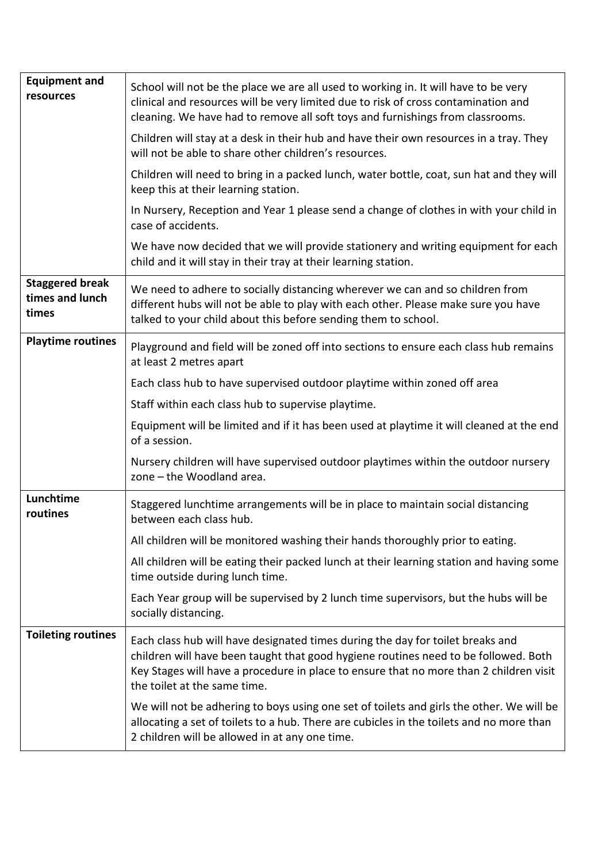| <b>Equipment and</b><br>resources                  | School will not be the place we are all used to working in. It will have to be very<br>clinical and resources will be very limited due to risk of cross contamination and<br>cleaning. We have had to remove all soft toys and furnishings from classrooms.                                     |
|----------------------------------------------------|-------------------------------------------------------------------------------------------------------------------------------------------------------------------------------------------------------------------------------------------------------------------------------------------------|
|                                                    | Children will stay at a desk in their hub and have their own resources in a tray. They<br>will not be able to share other children's resources.                                                                                                                                                 |
|                                                    | Children will need to bring in a packed lunch, water bottle, coat, sun hat and they will<br>keep this at their learning station.                                                                                                                                                                |
|                                                    | In Nursery, Reception and Year 1 please send a change of clothes in with your child in<br>case of accidents.                                                                                                                                                                                    |
|                                                    | We have now decided that we will provide stationery and writing equipment for each<br>child and it will stay in their tray at their learning station.                                                                                                                                           |
| <b>Staggered break</b><br>times and lunch<br>times | We need to adhere to socially distancing wherever we can and so children from<br>different hubs will not be able to play with each other. Please make sure you have<br>talked to your child about this before sending them to school.                                                           |
| <b>Playtime routines</b>                           | Playground and field will be zoned off into sections to ensure each class hub remains<br>at least 2 metres apart                                                                                                                                                                                |
|                                                    | Each class hub to have supervised outdoor playtime within zoned off area                                                                                                                                                                                                                        |
|                                                    | Staff within each class hub to supervise playtime.                                                                                                                                                                                                                                              |
|                                                    | Equipment will be limited and if it has been used at playtime it will cleaned at the end<br>of a session.                                                                                                                                                                                       |
|                                                    | Nursery children will have supervised outdoor playtimes within the outdoor nursery<br>zone - the Woodland area.                                                                                                                                                                                 |
| Lunchtime<br>routines                              | Staggered lunchtime arrangements will be in place to maintain social distancing<br>between each class hub.                                                                                                                                                                                      |
|                                                    | All children will be monitored washing their hands thoroughly prior to eating.                                                                                                                                                                                                                  |
|                                                    | All children will be eating their packed lunch at their learning station and having some<br>time outside during lunch time.                                                                                                                                                                     |
|                                                    | Each Year group will be supervised by 2 lunch time supervisors, but the hubs will be<br>socially distancing.                                                                                                                                                                                    |
| <b>Toileting routines</b>                          | Each class hub will have designated times during the day for toilet breaks and<br>children will have been taught that good hygiene routines need to be followed. Both<br>Key Stages will have a procedure in place to ensure that no more than 2 children visit<br>the toilet at the same time. |
|                                                    | We will not be adhering to boys using one set of toilets and girls the other. We will be<br>allocating a set of toilets to a hub. There are cubicles in the toilets and no more than<br>2 children will be allowed in at any one time.                                                          |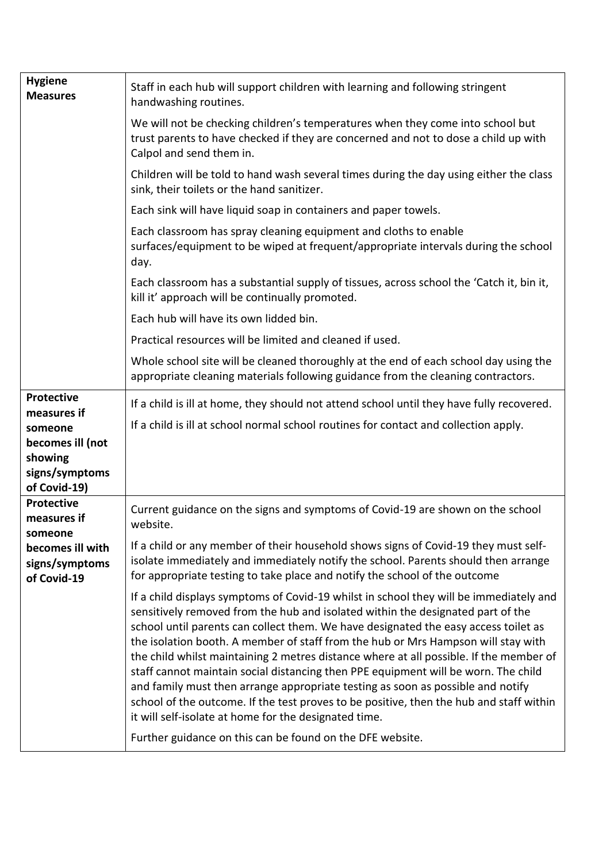| <b>Hygiene</b><br><b>Measures</b>                                                                            | Staff in each hub will support children with learning and following stringent<br>handwashing routines.                                                                                                                                                                                                                                                                                                                                                                                                                                                                                                                                                                                                                                                                                                                                    |
|--------------------------------------------------------------------------------------------------------------|-------------------------------------------------------------------------------------------------------------------------------------------------------------------------------------------------------------------------------------------------------------------------------------------------------------------------------------------------------------------------------------------------------------------------------------------------------------------------------------------------------------------------------------------------------------------------------------------------------------------------------------------------------------------------------------------------------------------------------------------------------------------------------------------------------------------------------------------|
|                                                                                                              | We will not be checking children's temperatures when they come into school but<br>trust parents to have checked if they are concerned and not to dose a child up with<br>Calpol and send them in.                                                                                                                                                                                                                                                                                                                                                                                                                                                                                                                                                                                                                                         |
|                                                                                                              | Children will be told to hand wash several times during the day using either the class<br>sink, their toilets or the hand sanitizer.                                                                                                                                                                                                                                                                                                                                                                                                                                                                                                                                                                                                                                                                                                      |
|                                                                                                              | Each sink will have liquid soap in containers and paper towels.                                                                                                                                                                                                                                                                                                                                                                                                                                                                                                                                                                                                                                                                                                                                                                           |
|                                                                                                              | Each classroom has spray cleaning equipment and cloths to enable<br>surfaces/equipment to be wiped at frequent/appropriate intervals during the school<br>day.                                                                                                                                                                                                                                                                                                                                                                                                                                                                                                                                                                                                                                                                            |
|                                                                                                              | Each classroom has a substantial supply of tissues, across school the 'Catch it, bin it,<br>kill it' approach will be continually promoted.                                                                                                                                                                                                                                                                                                                                                                                                                                                                                                                                                                                                                                                                                               |
|                                                                                                              | Each hub will have its own lidded bin.                                                                                                                                                                                                                                                                                                                                                                                                                                                                                                                                                                                                                                                                                                                                                                                                    |
|                                                                                                              | Practical resources will be limited and cleaned if used.                                                                                                                                                                                                                                                                                                                                                                                                                                                                                                                                                                                                                                                                                                                                                                                  |
|                                                                                                              | Whole school site will be cleaned thoroughly at the end of each school day using the<br>appropriate cleaning materials following guidance from the cleaning contractors.                                                                                                                                                                                                                                                                                                                                                                                                                                                                                                                                                                                                                                                                  |
| <b>Protective</b><br>measures if<br>someone<br>becomes ill (not<br>showing<br>signs/symptoms<br>of Covid-19) | If a child is ill at home, they should not attend school until they have fully recovered.<br>If a child is ill at school normal school routines for contact and collection apply.                                                                                                                                                                                                                                                                                                                                                                                                                                                                                                                                                                                                                                                         |
| <b>Protective</b><br>measures if<br>someone<br>becomes ill with<br>signs/symptoms<br>of Covid-19             | Current guidance on the signs and symptoms of Covid-19 are shown on the school<br>website.                                                                                                                                                                                                                                                                                                                                                                                                                                                                                                                                                                                                                                                                                                                                                |
|                                                                                                              | If a child or any member of their household shows signs of Covid-19 they must self-<br>isolate immediately and immediately notify the school. Parents should then arrange<br>for appropriate testing to take place and notify the school of the outcome                                                                                                                                                                                                                                                                                                                                                                                                                                                                                                                                                                                   |
|                                                                                                              | If a child displays symptoms of Covid-19 whilst in school they will be immediately and<br>sensitively removed from the hub and isolated within the designated part of the<br>school until parents can collect them. We have designated the easy access toilet as<br>the isolation booth. A member of staff from the hub or Mrs Hampson will stay with<br>the child whilst maintaining 2 metres distance where at all possible. If the member of<br>staff cannot maintain social distancing then PPE equipment will be worn. The child<br>and family must then arrange appropriate testing as soon as possible and notify<br>school of the outcome. If the test proves to be positive, then the hub and staff within<br>it will self-isolate at home for the designated time.<br>Further guidance on this can be found on the DFE website. |
|                                                                                                              |                                                                                                                                                                                                                                                                                                                                                                                                                                                                                                                                                                                                                                                                                                                                                                                                                                           |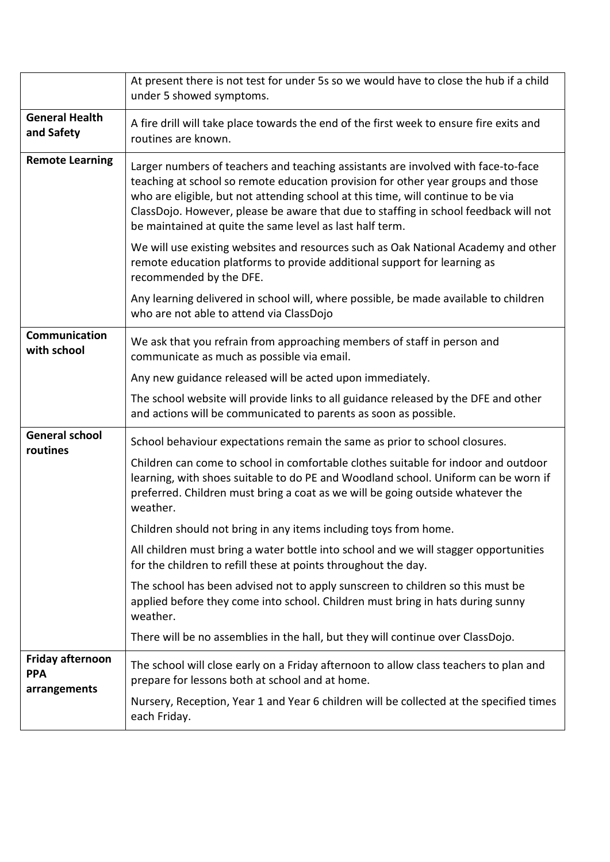|                                     | At present there is not test for under 5s so we would have to close the hub if a child<br>under 5 showed symptoms.                                                                                                                                                                                                                                                                                            |
|-------------------------------------|---------------------------------------------------------------------------------------------------------------------------------------------------------------------------------------------------------------------------------------------------------------------------------------------------------------------------------------------------------------------------------------------------------------|
| <b>General Health</b><br>and Safety | A fire drill will take place towards the end of the first week to ensure fire exits and<br>routines are known.                                                                                                                                                                                                                                                                                                |
| <b>Remote Learning</b>              | Larger numbers of teachers and teaching assistants are involved with face-to-face<br>teaching at school so remote education provision for other year groups and those<br>who are eligible, but not attending school at this time, will continue to be via<br>ClassDojo. However, please be aware that due to staffing in school feedback will not<br>be maintained at quite the same level as last half term. |
|                                     | We will use existing websites and resources such as Oak National Academy and other<br>remote education platforms to provide additional support for learning as<br>recommended by the DFE.                                                                                                                                                                                                                     |
|                                     | Any learning delivered in school will, where possible, be made available to children<br>who are not able to attend via ClassDojo                                                                                                                                                                                                                                                                              |
| Communication<br>with school        | We ask that you refrain from approaching members of staff in person and<br>communicate as much as possible via email.                                                                                                                                                                                                                                                                                         |
|                                     | Any new guidance released will be acted upon immediately.                                                                                                                                                                                                                                                                                                                                                     |
|                                     | The school website will provide links to all guidance released by the DFE and other<br>and actions will be communicated to parents as soon as possible.                                                                                                                                                                                                                                                       |
| <b>General school</b>               | School behaviour expectations remain the same as prior to school closures.                                                                                                                                                                                                                                                                                                                                    |
| routines                            | Children can come to school in comfortable clothes suitable for indoor and outdoor<br>learning, with shoes suitable to do PE and Woodland school. Uniform can be worn if<br>preferred. Children must bring a coat as we will be going outside whatever the<br>weather.                                                                                                                                        |
|                                     | Children should not bring in any items including toys from home.                                                                                                                                                                                                                                                                                                                                              |
|                                     | All children must bring a water bottle into school and we will stagger opportunities<br>for the children to refill these at points throughout the day.                                                                                                                                                                                                                                                        |
|                                     | The school has been advised not to apply sunscreen to children so this must be<br>applied before they come into school. Children must bring in hats during sunny<br>weather.                                                                                                                                                                                                                                  |
|                                     | There will be no assemblies in the hall, but they will continue over ClassDojo.                                                                                                                                                                                                                                                                                                                               |
| Friday afternoon<br><b>PPA</b>      | The school will close early on a Friday afternoon to allow class teachers to plan and<br>prepare for lessons both at school and at home.                                                                                                                                                                                                                                                                      |
| arrangements                        | Nursery, Reception, Year 1 and Year 6 children will be collected at the specified times<br>each Friday.                                                                                                                                                                                                                                                                                                       |